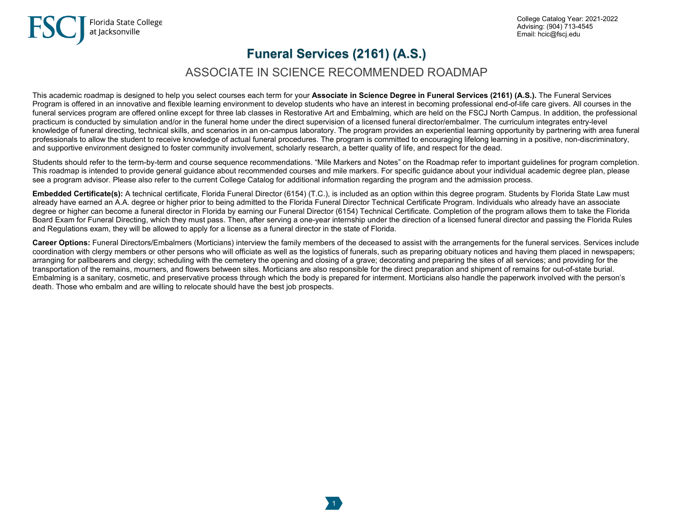## **Funeral Services (2161) (A.S.)**

## ASSOCIATE IN SCIENCE RECOMMENDED ROADMAP

This academic roadmap is designed to help you select courses each term for your **Associate in Science Degree in Funeral Services (2161) (A.S.).** The Funeral Services Program is offered in an innovative and flexible learning environment to develop students who have an interest in becoming professional end-of-life care givers. All courses in the funeral services program are offered online except for three lab classes in Restorative Art and Embalming, which are held on the FSCJ North Campus. In addition, the professional practicum is conducted by simulation and/or in the funeral home under the direct supervision of a licensed funeral director/embalmer. The curriculum integrates entry-level knowledge of funeral directing, technical skills, and scenarios in an on-campus laboratory. The program provides an experiential learning opportunity by partnering with area funeral professionals to allow the student to receive knowledge of actual funeral procedures. The program is committed to encouraging lifelong learning in a positive, non-discriminatory, and supportive environment designed to foster community involvement, scholarly research, a better quality of life, and respect for the dead.

Students should refer to the term-by-term and course sequence recommendations. "Mile Markers and Notes" on the Roadmap refer to important guidelines for program completion. This roadmap is intended to provide general guidance about recommended courses and mile markers. For specific guidance about your individual academic degree plan, please see a program advisor. Please also refer to the current College Catalog for additional information regarding the program and the admission process.

**Embedded Certificate(s):** A technical certificate, Florida Funeral Director (6154) (T.C.), is included as an option within this degree program. Students by Florida State Law must already have earned an A.A. degree or higher prior to being admitted to the Florida Funeral Director Technical Certificate Program. Individuals who already have an associate degree or higher can become a funeral director in Florida by earning our Funeral Director (6154) Technical Certificate. Completion of the program allows them to take the Florida Board Exam for Funeral Directing, which they must pass. Then, after serving a one-year internship under the direction of a licensed funeral director and passing the Florida Rules and Regulations exam, they will be allowed to apply for a license as a funeral director in the state of Florida.

**Career Options:** Funeral Directors/Embalmers (Morticians) interview the family members of the deceased to assist with the arrangements for the funeral services. Services include coordination with clergy members or other persons who will officiate as well as the logistics of funerals, such as preparing obituary notices and having them placed in newspapers; arranging for pallbearers and clergy; scheduling with the cemetery the opening and closing of a grave; decorating and preparing the sites of all services; and providing for the transportation of the remains, mourners, and flowers between sites. Morticians are also responsible for the direct preparation and shipment of remains for out-of-state burial. Embalming is a sanitary, cosmetic, and preservative process through which the body is prepared for interment. Morticians also handle the paperwork involved with the person's death. Those who embalm and are willing to relocate should have the best job prospects.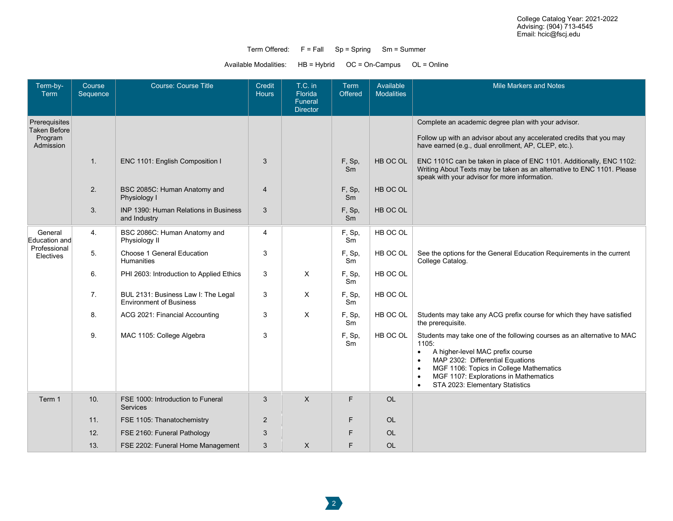## Term Offered: F = Fall Sp = Spring Sm = Summer

Available Modalities: HB = Hybrid OC = On-Campus OL = Online

| Term-by-<br>Term                                             | Course<br>Sequence | Course: Course Title                                                  | Credit<br><b>Hours</b> | T.C. in<br><b>Florida</b><br>Funeral | Term<br>Offered | Available<br><b>Modalities</b> | <b>Mile Markers and Notes</b>                                                                                                                                                                                                                                                                                                                    |
|--------------------------------------------------------------|--------------------|-----------------------------------------------------------------------|------------------------|--------------------------------------|-----------------|--------------------------------|--------------------------------------------------------------------------------------------------------------------------------------------------------------------------------------------------------------------------------------------------------------------------------------------------------------------------------------------------|
| Prerequisites<br><b>Taken Before</b><br>Program<br>Admission |                    |                                                                       |                        | <b>Director</b>                      |                 |                                | Complete an academic degree plan with your advisor.                                                                                                                                                                                                                                                                                              |
|                                                              |                    |                                                                       |                        |                                      |                 |                                | Follow up with an advisor about any accelerated credits that you may<br>have earned (e.g., dual enrollment, AP, CLEP, etc.).                                                                                                                                                                                                                     |
|                                                              | 1.                 | ENC 1101: English Composition I                                       | 3                      |                                      | F, Sp,<br>Sm    | HB OC OL                       | ENC 1101C can be taken in place of ENC 1101. Additionally, ENC 1102:<br>Writing About Texts may be taken as an alternative to ENC 1101. Please<br>speak with your advisor for more information.                                                                                                                                                  |
|                                                              | 2.                 | BSC 2085C: Human Anatomy and<br>Physiology I                          | $\overline{4}$         |                                      | F, Sp,<br>Sm    | HB OC OL                       |                                                                                                                                                                                                                                                                                                                                                  |
|                                                              | 3.                 | <b>INP 1390: Human Relations in Business</b><br>and Industry          | 3                      |                                      | F, Sp,<br>Sm    | HB OC OL                       |                                                                                                                                                                                                                                                                                                                                                  |
| General<br>Education and<br>Professional<br>Electives        | 4.                 | BSC 2086C: Human Anatomy and<br>Physiology II                         | 4                      |                                      | F, Sp,<br>Sm    | HB OC OL                       |                                                                                                                                                                                                                                                                                                                                                  |
|                                                              | 5.                 | Choose 1 General Education<br><b>Humanities</b>                       | 3                      |                                      | F, Sp,<br>Sm    | HB OC OL                       | See the options for the General Education Requirements in the current<br>College Catalog.                                                                                                                                                                                                                                                        |
|                                                              | 6.                 | PHI 2603: Introduction to Applied Ethics                              | 3                      | X                                    | F, Sp,<br>Sm    | HB OC OL                       |                                                                                                                                                                                                                                                                                                                                                  |
|                                                              | 7.                 | BUL 2131: Business Law I: The Legal<br><b>Environment of Business</b> | 3                      | X                                    | F, Sp,<br>Sm    | HB OC OL                       |                                                                                                                                                                                                                                                                                                                                                  |
|                                                              | 8.                 | ACG 2021: Financial Accounting                                        | 3                      | X                                    | F, Sp,<br>Sm    | HB OC OL                       | Students may take any ACG prefix course for which they have satisfied<br>the prerequisite.                                                                                                                                                                                                                                                       |
|                                                              | 9.                 | MAC 1105: College Algebra                                             | 3                      |                                      | F, Sp,<br>Sm    | HB OC OL                       | Students may take one of the following courses as an alternative to MAC<br>1105:<br>A higher-level MAC prefix course<br>$\bullet$<br>MAP 2302: Differential Equations<br>$\bullet$<br>MGF 1106: Topics in College Mathematics<br>$\bullet$<br>MGF 1107: Explorations in Mathematics<br>$\bullet$<br>STA 2023: Elementary Statistics<br>$\bullet$ |
| Term 1                                                       | 10.                | FSE 1000: Introduction to Funeral<br><b>Services</b>                  | 3                      | $\times$                             | F               | <b>OL</b>                      |                                                                                                                                                                                                                                                                                                                                                  |
|                                                              | 11.                | FSE 1105: Thanatochemistry                                            | $\overline{2}$         |                                      | F.              | <b>OL</b>                      |                                                                                                                                                                                                                                                                                                                                                  |
|                                                              | 12.                | FSE 2160: Funeral Pathology                                           | 3                      |                                      | F.              | <b>OL</b>                      |                                                                                                                                                                                                                                                                                                                                                  |
|                                                              | 13.                | FSE 2202: Funeral Home Management                                     | 3                      | X                                    | F               | <b>OL</b>                      |                                                                                                                                                                                                                                                                                                                                                  |